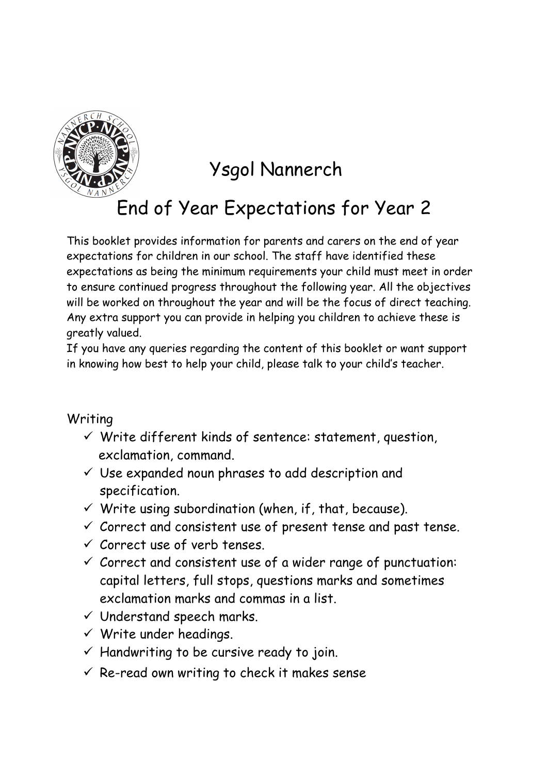

## Ysgol Nannerch

## End of Year Expectations for Year 2

This booklet provides information for parents and carers on the end of year expectations for children in our school. The staff have identified these expectations as being the minimum requirements your child must meet in order to ensure continued progress throughout the following year. All the objectives will be worked on throughout the year and will be the focus of direct teaching. Any extra support you can provide in helping you children to achieve these is greatly valued.

If you have any queries regarding the content of this booklet or want support in knowing how best to help your child, please talk to your child's teacher.

## Writing

- $\checkmark$  Write different kinds of sentence: statement, question, exclamation, command.
- $\checkmark$  Use expanded noun phrases to add description and specification.
- $\checkmark$  Write using subordination (when, if, that, because).
- $\checkmark$  Correct and consistent use of present tense and past tense.
- $\checkmark$  Correct use of verb tenses.
- $\checkmark$  Correct and consistent use of a wider range of punctuation: capital letters, full stops, questions marks and sometimes exclamation marks and commas in a list.
- $\checkmark$  Understand speech marks.
- $\checkmark$  Write under headings.
- $\checkmark$  Handwriting to be cursive ready to join.
- $\checkmark$  Re-read own writing to check it makes sense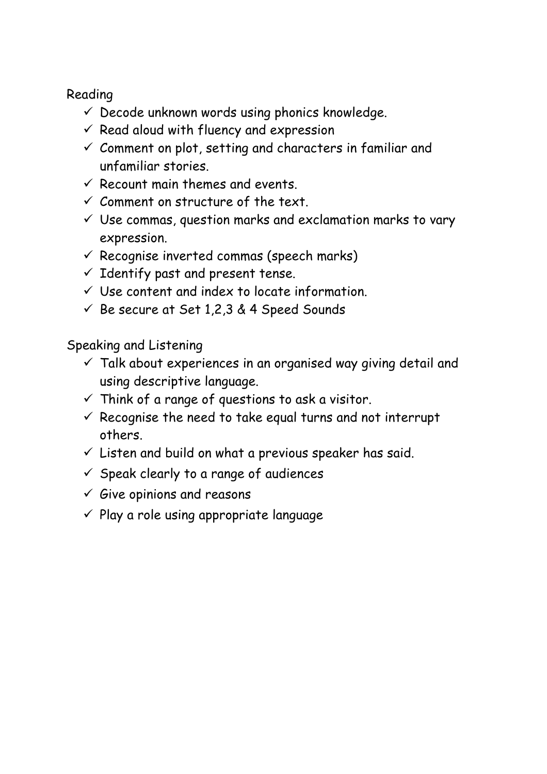## Reading

- $\checkmark$  Decode unknown words using phonics knowledge.
- $\checkmark$  Read aloud with fluency and expression
- $\checkmark$  Comment on plot, setting and characters in familiar and unfamiliar stories.
- $\checkmark$  Recount main themes and events.
- $\checkmark$  Comment on structure of the text.
- $\checkmark$  Use commas, question marks and exclamation marks to vary expression.
- $\checkmark$  Recognise inverted commas (speech marks)
- $\checkmark$  Identify past and present tense.
- $\checkmark$  Use content and index to locate information.
- $\checkmark$  Be secure at Set 1,2,3 & 4 Speed Sounds

Speaking and Listening

- $\checkmark$  Talk about experiences in an organised way giving detail and using descriptive language.
- $\checkmark$  Think of a range of questions to ask a visitor.
- $\checkmark$  Recognise the need to take equal turns and not interrupt others.
- $\checkmark$  Listen and build on what a previous speaker has said.
- $\checkmark$  Speak clearly to a range of audiences
- $\checkmark$  Give opinions and reasons
- $\checkmark$  Play a role using appropriate language